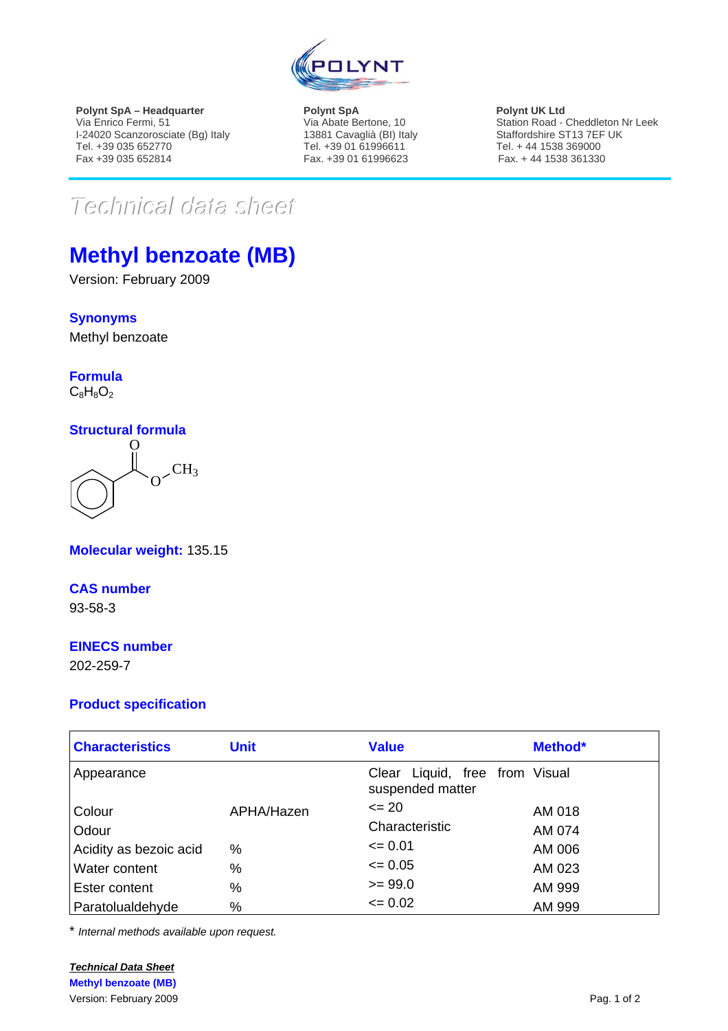

**Polynt SpA – Headquarter**  Via Enrico Fermi, 51 I-24020 Scanzorosciate (Bg) Italy Tel. +39 035 652770 Fax +39 035 652814

**Polynt SpA**  Via Abate Bertone, 10 13881 Cavaglià (BI) Italy Tel. +39 01 61996611 Fax. +39 01 61996623

**Polynt UK Ltd**  Station Road - Cheddleton Nr Leek Staffordshire ST13 7EF UK Tel. + 44 1538 369000 Fax. + 44 1538 361330

# $Techmical$  data sheet

## **Methyl benzoate (MB)**

Version: February 2009

**Synonyms** Methyl benzoate

**Formula**

### $C_8H_8O_2$

#### **Structural formula**



**Molecular weight:** 135.15

**CAS number** 93-58-3

#### **EINECS number**

202-259-7

#### **Product specification**

| <b>Characteristics</b> | <b>Unit</b> | <b>Value</b>                                       | Method* |
|------------------------|-------------|----------------------------------------------------|---------|
| Appearance             |             | Clear Liquid, free from Visual<br>suspended matter |         |
| Colour                 | APHA/Hazen  | $\leq$ 20                                          | AM 018  |
| Odour                  |             | Characteristic                                     | AM 074  |
| Acidity as bezoic acid | $\%$        | $\leq 0.01$                                        | AM 006  |
| Water content          | %           | $\leq 0.05$                                        | AM 023  |
| Ester content          | $\%$        | $>= 99.0$                                          | AM 999  |
| Paratolualdehyde       | $\%$        | $\leq 0.02$                                        | AM 999  |

\* *Internal methods available upon request.*